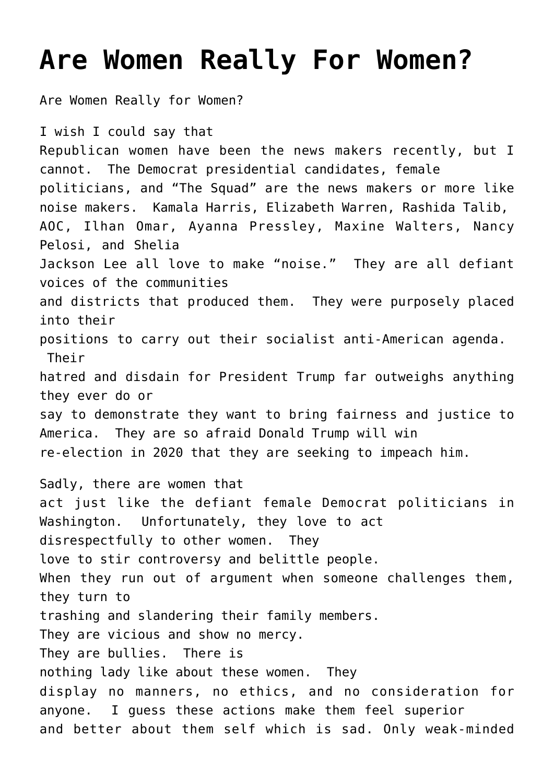## **[Are Women Really For Women?](https://columbuscountyconservative.com/index.php/are-women-really-women/)**

Are Women Really for Women?

I wish I could say that Republican women have been the news makers recently, but I cannot. The Democrat presidential candidates, female politicians, and "The Squad" are the news makers or more like noise makers. Kamala Harris, Elizabeth Warren, Rashida Talib, AOC, Ilhan Omar, Ayanna Pressley, Maxine Walters, Nancy Pelosi, and Shelia Jackson Lee all love to make "noise." They are all defiant voices of the communities and districts that produced them. They were purposely placed into their positions to carry out their socialist anti-American agenda. Their hatred and disdain for President Trump far outweighs anything they ever do or say to demonstrate they want to bring fairness and justice to America. They are so afraid Donald Trump will win re-election in 2020 that they are seeking to impeach him. Sadly, there are women that act just like the defiant female Democrat politicians in Washington. Unfortunately, they love to act disrespectfully to other women. They love to stir controversy and belittle people. When they run out of argument when someone challenges them, they turn to trashing and slandering their family members. They are vicious and show no mercy. They are bullies. There is nothing lady like about these women. They display no manners, no ethics, and no consideration for anyone. I guess these actions make them feel superior and better about them self which is sad. Only weak-minded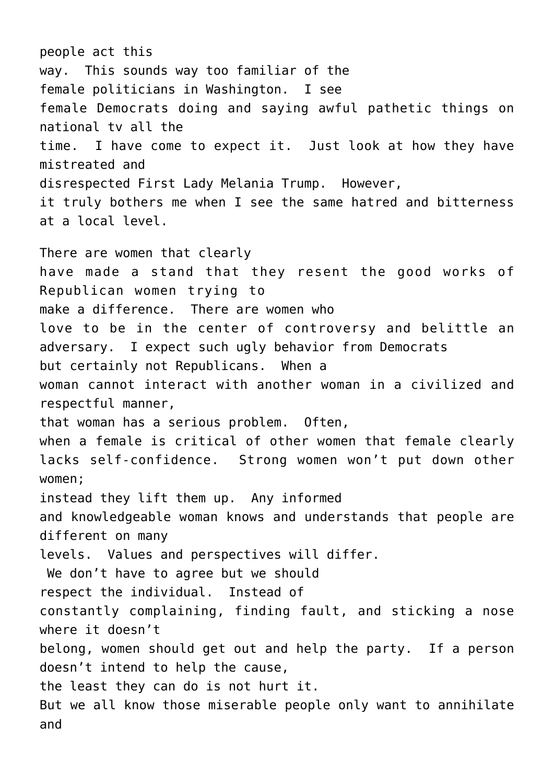people act this way. This sounds way too familiar of the female politicians in Washington. I see female Democrats doing and saying awful pathetic things on national tv all the time. I have come to expect it. Just look at how they have mistreated and disrespected First Lady Melania Trump. However, it truly bothers me when I see the same hatred and bitterness at a local level. There are women that clearly have made a stand that they resent the good works of Republican women trying to make a difference. There are women who love to be in the center of controversy and belittle an adversary. I expect such ugly behavior from Democrats but certainly not Republicans. When a woman cannot interact with another woman in a civilized and respectful manner, that woman has a serious problem. Often, when a female is critical of other women that female clearly lacks self-confidence. Strong women won't put down other women; instead they lift them up. Any informed and knowledgeable woman knows and understands that people are different on many levels. Values and perspectives will differ. We don't have to agree but we should respect the individual. Instead of constantly complaining, finding fault, and sticking a nose where it doesn't belong, women should get out and help the party. If a person doesn't intend to help the cause, the least they can do is not hurt it. But we all know those miserable people only want to annihilate and